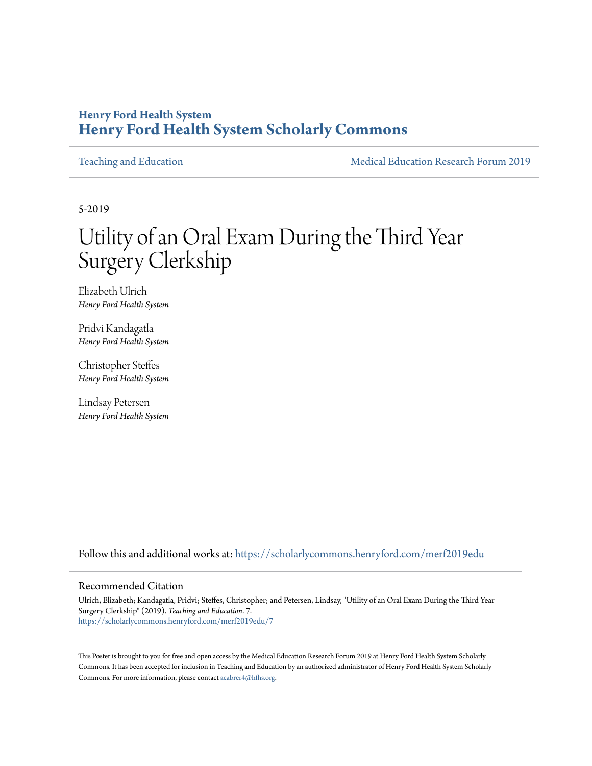#### **Henry Ford Health System [Henry Ford Health System Scholarly Commons](https://scholarlycommons.henryford.com?utm_source=scholarlycommons.henryford.com%2Fmerf2019edu%2F7&utm_medium=PDF&utm_campaign=PDFCoverPages)**

[Teaching and Education](https://scholarlycommons.henryford.com/merf2019edu?utm_source=scholarlycommons.henryford.com%2Fmerf2019edu%2F7&utm_medium=PDF&utm_campaign=PDFCoverPages) Teaching and Education Communication Research Forum 2019

5-2019

#### Utility of an Oral Exam During the Third Year Surgery Clerkship

Elizabeth Ulrich *Henry Ford Health System*

Pridvi Kandagatla *Henry Ford Health System*

Christopher Steffes *Henry Ford Health System*

Lindsay Petersen *Henry Ford Health System*

Follow this and additional works at: [https://scholarlycommons.henryford.com/merf2019edu](https://scholarlycommons.henryford.com/merf2019edu?utm_source=scholarlycommons.henryford.com%2Fmerf2019edu%2F7&utm_medium=PDF&utm_campaign=PDFCoverPages)

#### Recommended Citation

Ulrich, Elizabeth; Kandagatla, Pridvi; Steffes, Christopher; and Petersen, Lindsay, "Utility of an Oral Exam During the Third Year Surgery Clerkship" (2019). *Teaching and Education*. 7. [https://scholarlycommons.henryford.com/merf2019edu/7](https://scholarlycommons.henryford.com/merf2019edu/7?utm_source=scholarlycommons.henryford.com%2Fmerf2019edu%2F7&utm_medium=PDF&utm_campaign=PDFCoverPages)

This Poster is brought to you for free and open access by the Medical Education Research Forum 2019 at Henry Ford Health System Scholarly Commons. It has been accepted for inclusion in Teaching and Education by an authorized administrator of Henry Ford Health System Scholarly Commons. For more information, please contact [acabrer4@hfhs.org.](mailto:acabrer4@hfhs.org)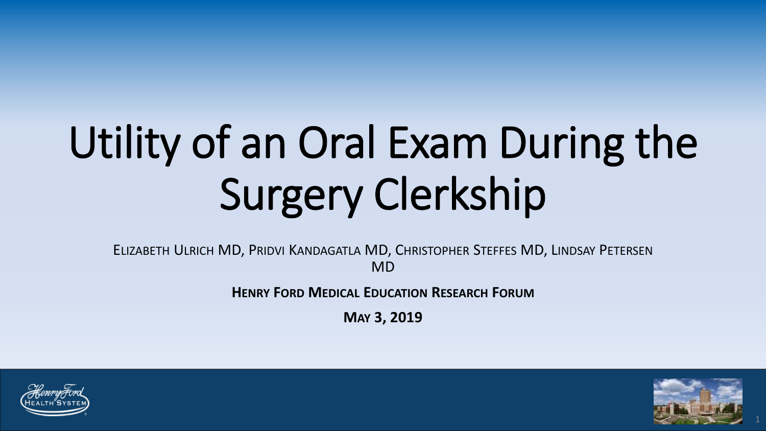# Utility of an Oral Exam During the Surgery Clerkship

ELIZABETH ULRICH MD, PRIDVI KANDAGATLA MD, CHRISTOPHER STEFFES MD, LINDSAY PETERSEN MD

**HENRY FORD MEDICAL EDUCATION RESEARCH FORUM**

**MAY 3, 2019**



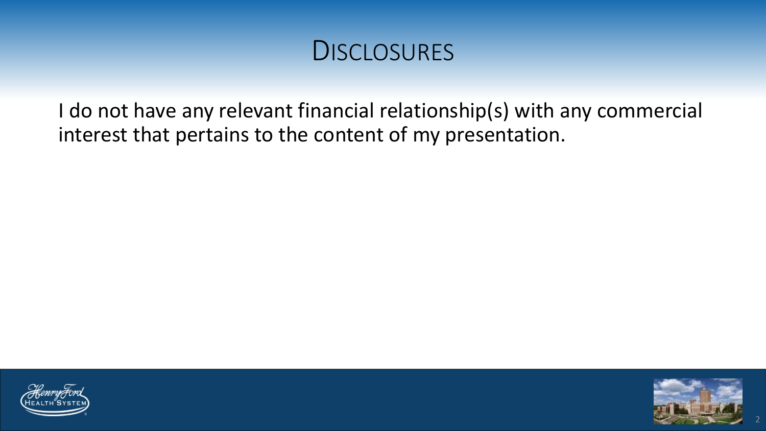#### **DISCLOSURES**

I do not have any relevant financial relationship(s) with any commercial interest that pertains to the content of my presentation.



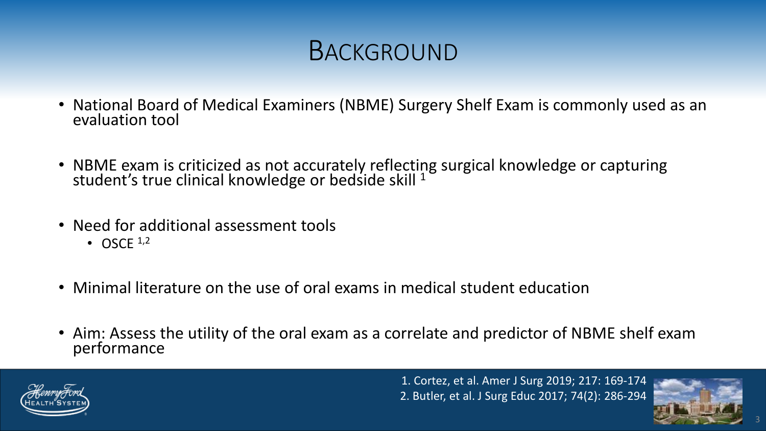### BACKGROUND

- National Board of Medical Examiners (NBME) Surgery Shelf Exam is commonly used as an evaluation tool
- NBME exam is criticized as not accurately reflecting surgical knowledge or capturing student's true clinical knowledge or bedside skill  $^1$
- Need for additional assessment tools
	- $\bullet$  OSCE  $1,2$
- Minimal literature on the use of oral exams in medical student education
- Aim: Assess the utility of the oral exam as a correlate and predictor of NBME shelf exam performance



1. Cortez, et al. Amer J Surg 2019; 217: 169-174 2. Butler, et al. J Surg Educ 2017; 74(2): 286-294

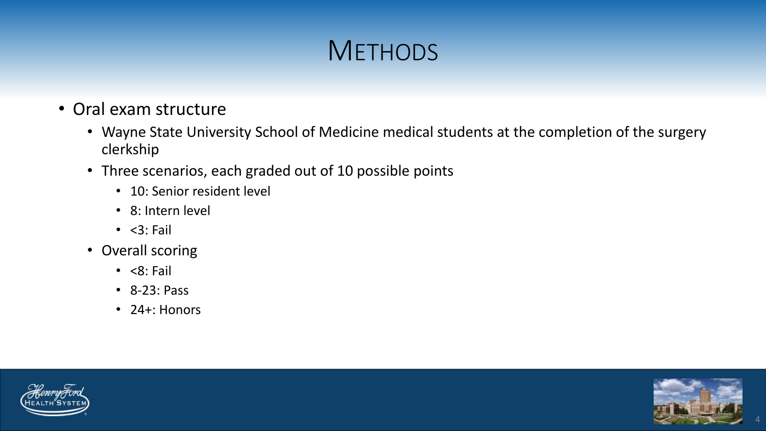#### **METHODS**

- Oral exam structure
	- Wayne State University School of Medicine medical students at the completion of the surgery clerkship
	- Three scenarios, each graded out of 10 possible points
		- 10: Senior resident level
		- 8: Intern level
		- $\cdot$  <3: Fail
	- Overall scoring
		- $\cdot$  <8: Fail
		- 8-23: Pass
		- 24+: Honors



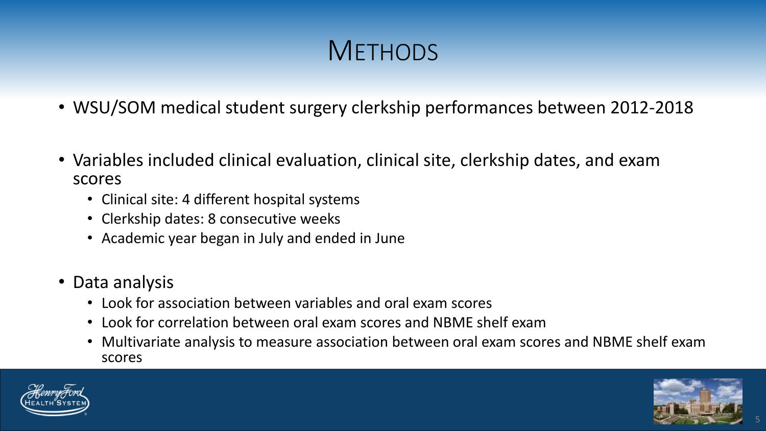## **METHODS**

- WSU/SOM medical student surgery clerkship performances between 2012-2018
- Variables included clinical evaluation, clinical site, clerkship dates, and exam scores
	- Clinical site: 4 different hospital systems
	- Clerkship dates: 8 consecutive weeks
	- Academic year began in July and ended in June
- Data analysis
	- Look for association between variables and oral exam scores
	- Look for correlation between oral exam scores and NBME shelf exam
	- Multivariate analysis to measure association between oral exam scores and NBME shelf exam scores





5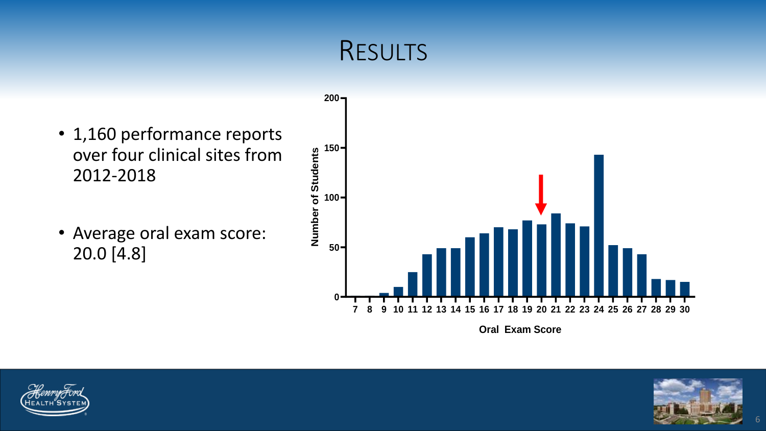#### RESULTS

- 1,160 performance reports over four clinical sites from 2012-2018
- Average oral exam score: 20.0 [4.8]



**Oral Exam Score**



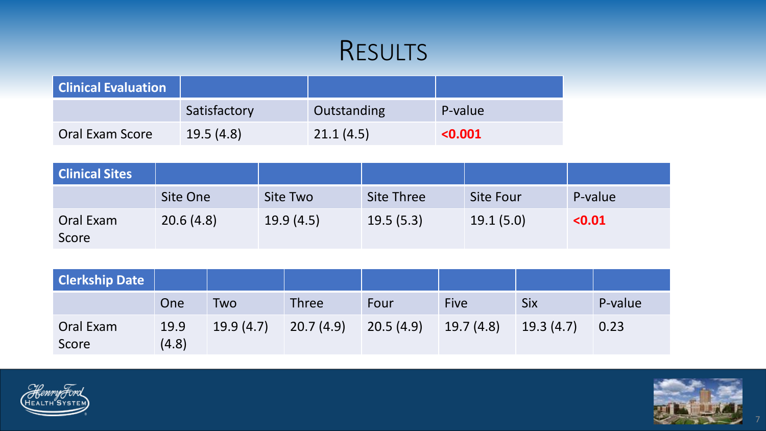#### RESULTS

| <b>Clinical Evaluation</b> |              |             |         |
|----------------------------|--------------|-------------|---------|
|                            | Satisfactory | Outstanding | P-value |
| Oral Exam Score            | 19.5(4.8)    | 21.1(4.5)   | < 0.001 |

| <b>Clinical Sites</b> |           |           |                   |                  |         |
|-----------------------|-----------|-----------|-------------------|------------------|---------|
|                       | Site One  | Site Two  | <b>Site Three</b> | <b>Site Four</b> | P-value |
| Oral Exam<br>Score    | 20.6(4.8) | 19.9(4.5) | 19.5(5.3)         | 19.1(5.0)        | < 0.01  |

| <b>Clerkship Date</b> |               |           |              |           |             |            |         |
|-----------------------|---------------|-----------|--------------|-----------|-------------|------------|---------|
|                       | One           | Two       | <b>Three</b> | Four      | <b>Five</b> | <b>Six</b> | P-value |
| Oral Exam<br>Score    | 19.9<br>(4.8) | 19.9(4.7) | 20.7(4.9)    | 20.5(4.9) | 19.7(4.8)   | 19.3(4.7)  | 0.23    |



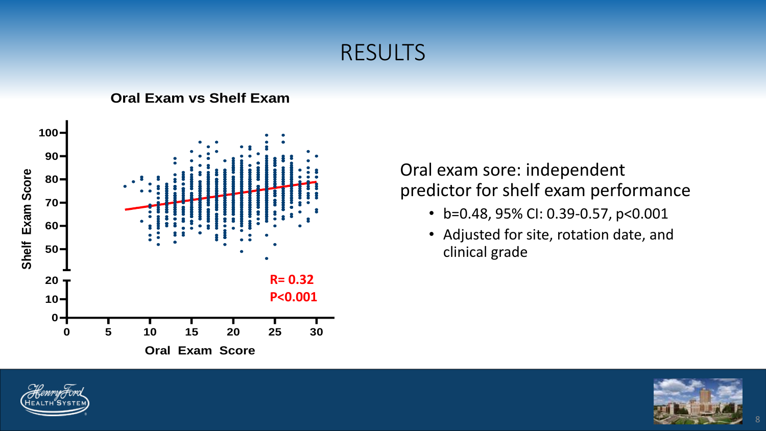#### RESULTS



Oral exam sore: independent predictor for shelf exam performance

- b=0.48, 95% CI: 0.39-0.57, p<0.001
- Adjusted for site, rotation date, and clinical grade



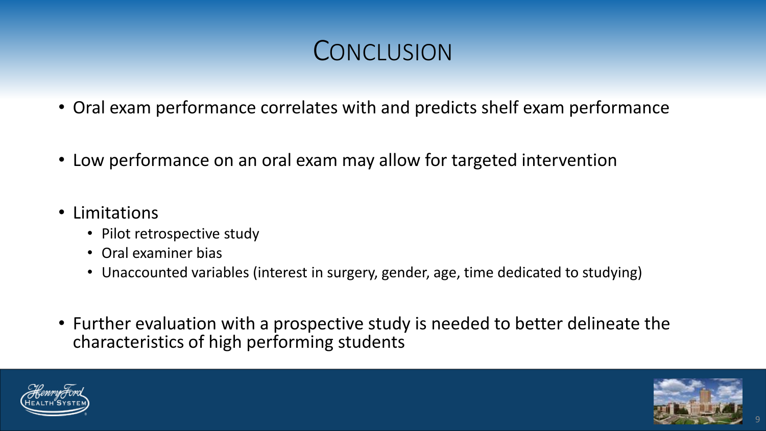### **CONCLUSION**

- Oral exam performance correlates with and predicts shelf exam performance
- Low performance on an oral exam may allow for targeted intervention
- Limitations
	- Pilot retrospective study
	- Oral examiner bias
	- Unaccounted variables (interest in surgery, gender, age, time dedicated to studying)
- Further evaluation with a prospective study is needed to better delineate the characteristics of high performing students





9